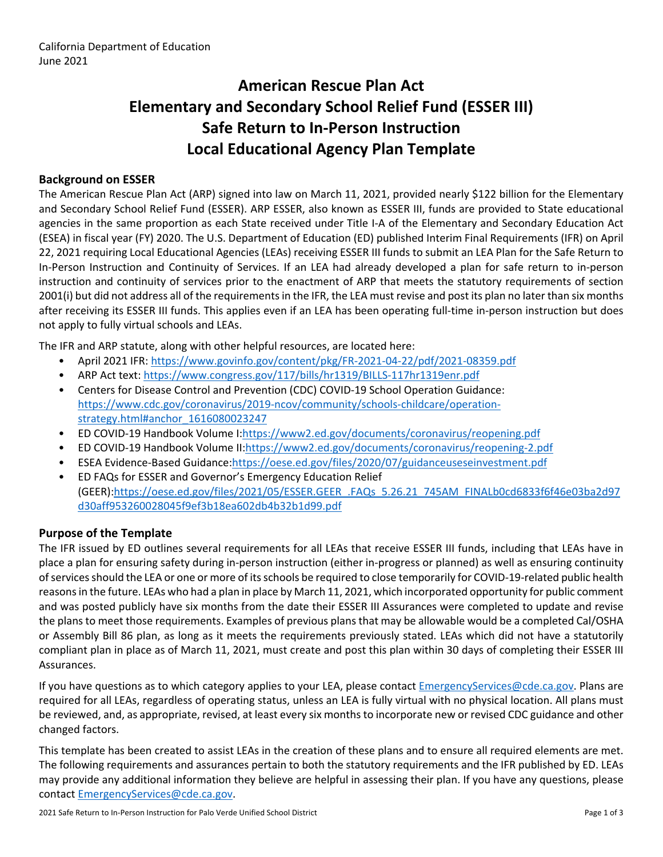# **American Rescue Plan Act Elementary and Secondary School Relief Fund (ESSER III) Safe Return to In-Person Instruction Local Educational Agency Plan Template**

## **Background on ESSER**

The American Rescue Plan Act (ARP) signed into law on March 11, 2021, provided nearly \$122 billion for the Elementary and Secondary School Relief Fund (ESSER). ARP ESSER, also known as ESSER III, funds are provided to State educational agencies in the same proportion as each State received under Title I-A of the Elementary and Secondary Education Act (ESEA) in fiscal year (FY) 2020. The U.S. Department of Education (ED) published Interim Final Requirements (IFR) on April 22, 2021 requiring Local Educational Agencies (LEAs) receiving ESSER III funds to submit an LEA Plan for the Safe Return to In-Person Instruction and Continuity of Services. If an LEA had already developed a plan for safe return to in-person instruction and continuity of services prior to the enactment of ARP that meets the statutory requirements of section 2001(i) but did not address all of the requirements in the IFR, the LEA must revise and post its plan no later than six months after receiving its ESSER III funds. This applies even if an LEA has been operating full-time in-person instruction but does not apply to fully virtual schools and LEAs.

The IFR and ARP statute, along with other helpful resources, are located here:

- April 2021 IFR: <https://www.govinfo.gov/content/pkg/FR-2021-04-22/pdf/2021-08359.pdf>
- ARP Act text: <https://www.congress.gov/117/bills/hr1319/BILLS-117hr1319enr.pdf>
- Centers for Disease Control and Prevention (CDC) COVID-19 School Operation Guidance: [https://www.cdc.gov/coronavirus/2019-ncov/community/schools-childcare/operation](https://www.cdc.gov/coronavirus/2019-ncov/community/schools-childcare/operation-strategy.html#anchor_1616080023247)[strategy.html#anchor\\_1616080023247](https://www.cdc.gov/coronavirus/2019-ncov/community/schools-childcare/operation-strategy.html#anchor_1616080023247)
- ED COVID-19 Handbook Volume I:[https://www2.ed.gov/documents/coronavirus/reopening.pdf](https://www2.ed.gov/documents/coronavirus/reopening.pdf%20)
- ED COVID-19 Handbook Volume II:<https://www2.ed.gov/documents/coronavirus/reopening-2.pdf>
- ESEA Evidence-Based Guidance[:https://oese.ed.gov/files/2020/07/guidanceuseseinvestment.pdf](https://oese.ed.gov/files/2020/07/guidanceuseseinvestment.pdf)
- ED FAQs for ESSER and Governor's Emergency Education Relief (GEER)[:https://oese.ed.gov/files/2021/05/ESSER.GEER\\_.FAQs\\_5.26.21\\_745AM\\_FINALb0cd6833f6f46e03ba2d97](https://oese.ed.gov/files/2021/05/ESSER.GEER_.FAQs_5.26.21_745AM_FINALb0cd6833f6f46e03ba2d97d30aff953260028045f9ef3b18ea602db4b32b1d99.pdf) [d30aff953260028045f9ef3b18ea602db4b32b1d99.pdf](https://oese.ed.gov/files/2021/05/ESSER.GEER_.FAQs_5.26.21_745AM_FINALb0cd6833f6f46e03ba2d97d30aff953260028045f9ef3b18ea602db4b32b1d99.pdf)

#### **Purpose of the Template**

The IFR issued by ED outlines several requirements for all LEAs that receive ESSER III funds, including that LEAs have in place a plan for ensuring safety during in-person instruction (either in-progress or planned) as well as ensuring continuity ofservicesshould the LEA or one or more of itsschools be required to close temporarily for COVID-19-related public health reasons in the future. LEAs who had a plan in place by March 11, 2021, which incorporated opportunity for public comment and was posted publicly have six months from the date their ESSER III Assurances were completed to update and revise the plans to meet those requirements. Examples of previous plans that may be allowable would be a completed Cal/OSHA or Assembly Bill 86 plan, as long as it meets the requirements previously stated. LEAs which did not have a statutorily compliant plan in place as of March 11, 2021, must create and post this plan within 30 days of completing their ESSER III Assurances.

If you have questions as to which category applies to your LEA, please contact [EmergencyServices@cde.ca.gov.](mailto:EmergencyServices@cde.ca.gov) Plans are required for all LEAs, regardless of operating status, unless an LEA is fully virtual with no physical location. All plans must be reviewed, and, as appropriate, revised, at least every six monthsto incorporate new or revised CDC guidance and other changed factors.

This template has been created to assist LEAs in the creation of these plans and to ensure all required elements are met. The following requirements and assurances pertain to both the statutory requirements and the IFR published by ED. LEAs may provide any additional information they believe are helpful in assessing their plan. If you have any questions, please contact [EmergencyServices@cde.ca.gov.](mailto:EmergencyServices@cde.ca.gov)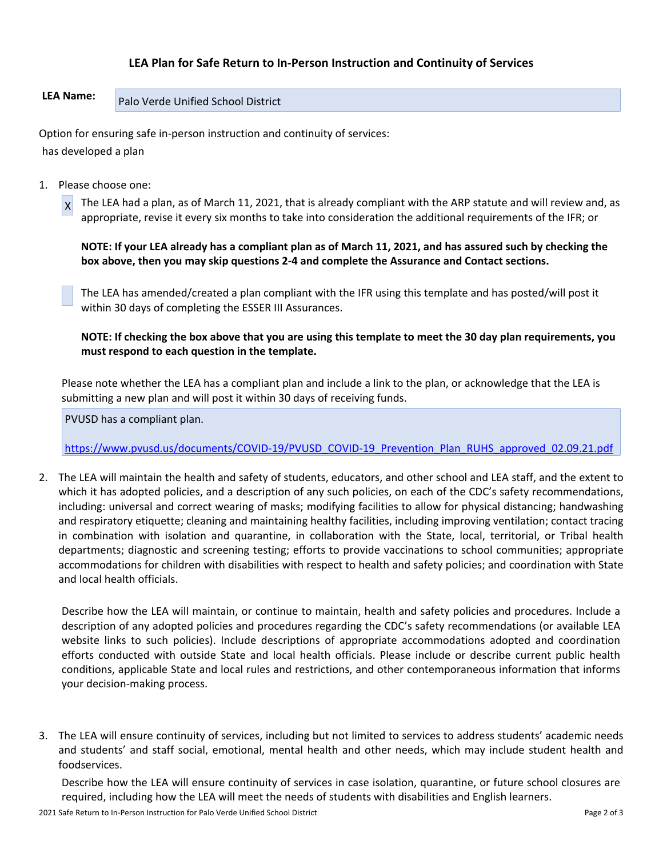## **LEA Plan for Safe Return to In-Person Instruction and Continuity of Services**

# **LEA Name:** Palo Verde Unified School District

Option for ensuring safe in-person instruction and continuity of services: has developed a plan

1. Please choose one:

 $\vert x \vert$ The LEA had a plan, as of March 11, 2021, that is already compliant with the ARP statute and will review and, as appropriate, revise it every six months to take into consideration the additional requirements of the IFR; or

NOTE: If your LEA already has a compliant plan as of March 11, 2021, and has assured such by checking the **box above, then you may skip questions 2-4 and complete the Assurance and Contact sections.**

The LEA has amended/created a plan compliant with the IFR using this template and has posted/will post it within 30 days of completing the ESSER III Assurances.

NOTE: If checking the box above that you are using this template to meet the 30 day plan requirements, you **must respond to each question in the template.**

Please note whether the LEA has a compliant plan and include a link to the plan, or acknowledge that the LEA is submitting a new plan and will post it within 30 days of receiving funds.

PVUSD has a compliant plan.

[https://www.pvusd.us/documents/COVID-19/PVUSD\\_COVID-19\\_Prevention\\_Plan\\_RUHS\\_approved\\_02.09.21.pdf](https://www.pvusd.us/documents/COVID-19/PVUSD_COVID-19_Prevention_Plan_RUHS_approved_02.09.21.pdf)

2. The LEA will maintain the health and safety of students, educators, and other school and LEA staff, and the extent to which it has adopted policies, and a description of any such policies, on each of the CDC's safety recommendations, including: universal and correct wearing of masks; modifying facilities to allow for physical distancing; handwashing and respiratory etiquette; cleaning and maintaining healthy facilities, including improving ventilation; contact tracing in combination with isolation and quarantine, in collaboration with the State, local, territorial, or Tribal health departments; diagnostic and screening testing; efforts to provide vaccinations to school communities; appropriate accommodations for children with disabilities with respect to health and safety policies; and coordination with State and local health officials.

Describe how the LEA will maintain, or continue to maintain, health and safety policies and procedures. Include a description of any adopted policies and procedures regarding the CDC's safety recommendations (or available LEA website links to such policies). Include descriptions of appropriate accommodations adopted and coordination efforts conducted with outside State and local health officials. Please include or describe current public health conditions, applicable State and local rules and restrictions, and other contemporaneous information that informs your decision-making process.

3. The LEA will ensure continuity of services, including but not limited to services to address students' academic needs and students' and staff social, emotional, mental health and other needs, which may include student health and foodservices.

Describe how the LEA will ensure continuity of services in case isolation, quarantine, or future school closures are required, including how the LEA will meet the needs of students with disabilities and English learners.